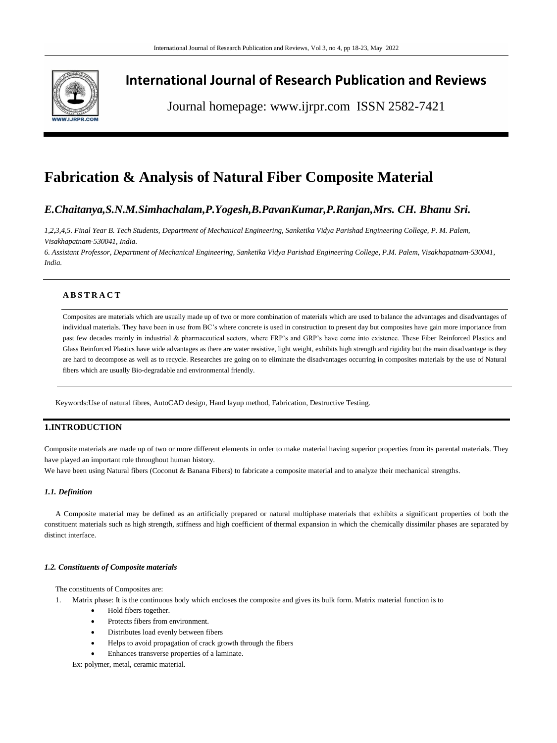

# **International Journal of Research Publication and Reviews**

Journal homepage: www.ijrpr.com ISSN 2582-7421

# **Fabrication & Analysis of Natural Fiber Composite Material**

# *E.Chaitanya,S.N.M.Simhachalam,P.Yogesh,B.PavanKumar,P.Ranjan,Mrs. CH. Bhanu Sri.*

*1,2,3,4,5. Final Year B. Tech Students, Department of Mechanical Engineering, Sanketika Vidya Parishad Engineering College, P. M. Palem, Visakhapatnam-530041, India.*

*6. Assistant Professor, Department of Mechanical Engineering, Sanketika Vidya Parishad Engineering College, P.M. Palem, Visakhapatnam-530041, India.*

# **A B S T R A C T**

Composites are materials which are usually made up of two or more combination of materials which are used to balance the advantages and disadvantages of individual materials. They have been in use from BC's where concrete is used in construction to present day but composites have gain more importance from past few decades mainly in industrial & pharmaceutical sectors, where FRP's and GRP's have come into existence. These Fiber Reinforced Plastics and Glass Reinforced Plastics have wide advantages as there are water resistive, light weight, exhibits high strength and rigidity but the main disadvantage is they are hard to decompose as well as to recycle. Researches are going on to eliminate the disadvantages occurring in composites materials by the use of Natural fibers which are usually Bio-degradable and environmental friendly.

Keywords:Use of natural fibres, AutoCAD design, Hand layup method, Fabrication, Destructive Testing.

# **1.INTRODUCTION**

Composite materials are made up of two or more different elements in order to make material having superior properties from its parental materials. They have played an important role throughout human history.

We have been using Natural fibers (Coconut & Banana Fibers) to fabricate a composite material and to analyze their mechanical strengths.

#### *1.1. Definition*

A Composite material may be defined as an artificially prepared or natural multiphase materials that exhibits a significant properties of both the constituent materials such as high strength, stiffness and high coefficient of thermal expansion in which the chemically dissimilar phases are separated by distinct interface.

## *1.2. Constituents of Composite materials*

The constituents of Composites are:

1. Matrix phase: It is the continuous body which encloses the composite and gives its bulk form. Matrix material function is to

- Hold fibers together.
- Protects fibers from environment.
- Distributes load evenly between fibers
- Helps to avoid propagation of crack growth through the fibers
- Enhances transverse properties of a laminate.

Ex: polymer, metal, ceramic material.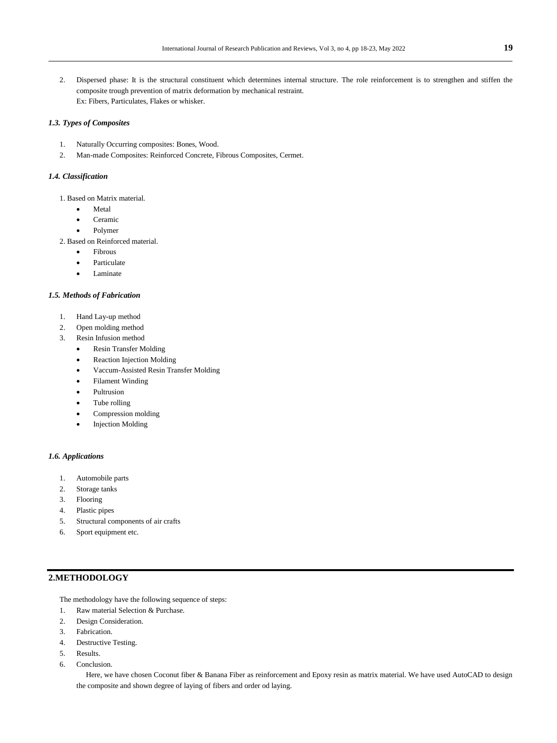2. Dispersed phase: It is the structural constituent which determines internal structure. The role reinforcement is to strengthen and stiffen the composite trough prevention of matrix deformation by mechanical restraint. Ex: Fibers, Particulates, Flakes or whisker.

# *1.3. Types of Composites*

- 1. Naturally Occurring composites: Bones, Wood.
- 2. Man-made Composites: Reinforced Concrete, Fibrous Composites, Cermet.

#### *1.4. Classification*

- 1. Based on Matrix material.
	- Metal
	- Ceramic
	- Polymer

2. Based on Reinforced material.

- Fibrous
- Particulate
- Laminate

### *1.5. Methods of Fabrication*

- 1. Hand Lay-up method
- 2. Open molding method
- 3. Resin Infusion method
	- Resin Transfer Molding
	- Reaction Injection Molding
	- Vaccum-Assisted Resin Transfer Molding
	- Filament Winding
	- Pultrusion
	- Tube rolling
	- Compression molding
	- Injection Molding

#### *1.6. Applications*

- 1. Automobile parts
- 2. Storage tanks
- 3. Flooring
- 4. Plastic pipes
- 5. Structural components of air crafts
- 6. Sport equipment etc.

# **2.METHODOLOGY**

The methodology have the following sequence of steps:

- 1. Raw material Selection & Purchase.
- 2. Design Consideration.
- 3. Fabrication.
- 4. Destructive Testing.
- 5. Results.
- 6. Conclusion.

 Here, we have chosen Coconut fiber & Banana Fiber as reinforcement and Epoxy resin as matrix material. We have used AutoCAD to design the composite and shown degree of laying of fibers and order od laying.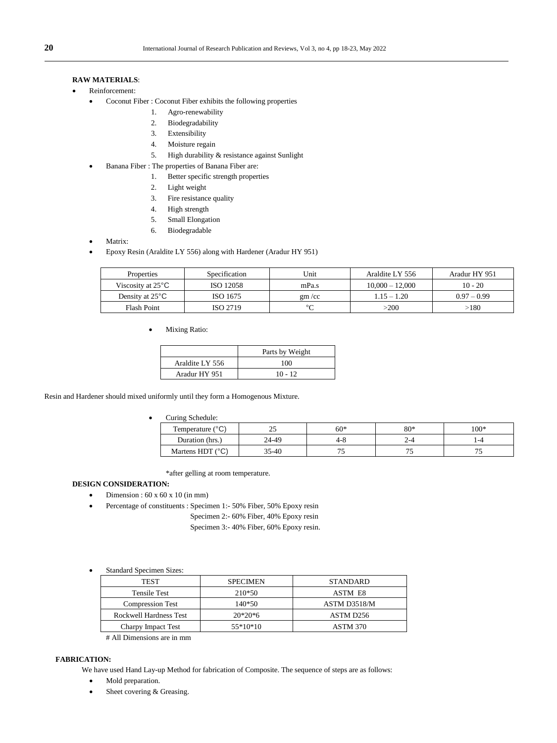# **RAW MATERIALS**:

- Reinforcement:
	- Coconut Fiber : Coconut Fiber exhibits the following properties
		- 1. Agro-renewability
			- 2. Biodegradability
			- 3. Extensibility
			- 4. Moisture regain
		- 5. High durability & resistance against Sunlight
		- Banana Fiber : The properties of Banana Fiber are:
			- 1. Better specific strength properties
			- 2. Light weight
			- 3. Fire resistance quality
			- 4. High strength
			- 5. Small Elongation
			- 6. Biodegradable
	- Matrix:
	- Epoxy Resin (Araldite LY 556) along with Hardener (Aradur HY 951)

| Properties                  | Specification    | Unit         | Araldite LY 556   | Aradur HY 951 |
|-----------------------------|------------------|--------------|-------------------|---------------|
| Viscosity at $25^{\circ}$ C | <b>ISO 12058</b> | mPa.s        | $10.000 - 12.000$ | $10 - 20$     |
| Density at $25^{\circ}$ C   | ISO 1675         | $\rm gm$ /cc | $1.15 - 1.20$     | $0.97 - 0.99$ |
| <b>Flash Point</b>          | ISO 2719         | $\sim$       | >200              | $>\!\!180$    |

Mixing Ratio:

|                 | Parts by Weight |
|-----------------|-----------------|
| Araldite LY 556 | 100             |
| Aradur HY 951   | $10 - 12$       |

Resin and Hardener should mixed uniformly until they form a Homogenous Mixture.

#### Curing Schedule:

| Temperature $(^{\circ}C)$ | ت     | $60*$  | $80*$ | $100*$ |
|---------------------------|-------|--------|-------|--------|
| Duration (hrs.)           | 24-49 | 4-8    | ے۔ ،  | -4     |
| Martens HDT $(^{\circ}C)$ | 35-40 | $\sim$ |       |        |

\*after gelling at room temperature.

## **DESIGN CONSIDERATION:**

- $\bullet$  Dimension : 60 x 60 x 10 (in mm)
- Percentage of constituents : Specimen 1:- 50% Fiber, 50% Epoxy resin
	- Specimen 2:- 60% Fiber, 40% Epoxy resin

Specimen 3:- 40% Fiber, 60% Epoxy resin.

Standard Specimen Sizes:

| <b>TEST</b>             | <b>SPECIMEN</b> | <b>STANDARD</b> |
|-------------------------|-----------------|-----------------|
| <b>Tensile Test</b>     | 210*50          | ASTM E8         |
| <b>Compression Test</b> | 140*50          | ASTM D3518/M    |
| Rockwell Hardness Test  | $20*20*6$       | ASTM D256       |
| Charpy Impact Test      | 55*10*10        | ASTM 370        |

# All Dimensions are in mm

# **FABRICATION:**

We have used Hand Lay-up Method for fabrication of Composite. The sequence of steps are as follows:

- Mold preparation.
- Sheet covering & Greasing.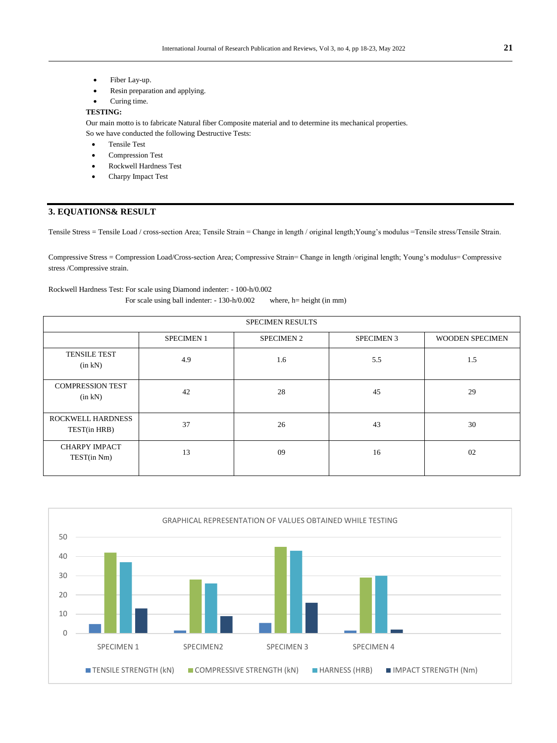- Fiber Lay-up.
- Resin preparation and applying.
- Curing time.

# **TESTING:**

 Our main motto is to fabricate Natural fiber Composite material and to determine its mechanical properties. So we have conducted the following Destructive Tests:

- Tensile Test
- Compression Test
- Rockwell Hardness Test
- Charpy Impact Test

# **3. EQUATIONS& RESULT**

Tensile Stress = Tensile Load / cross-section Area; Tensile Strain = Change in length / original length;Young's modulus =Tensile stress/Tensile Strain.

Compressive Stress = Compression Load/Cross-section Area; Compressive Strain= Change in length /original length; Young's modulus= Compressive stress /Compressive strain.

### Rockwell Hardness Test: For scale using Diamond indenter: - 100-h/0.002

For scale using ball indenter: - 130-h/0.002 where, h= height (in mm)

| <b>SPECIMEN RESULTS</b>                  |                   |                   |                   |                        |
|------------------------------------------|-------------------|-------------------|-------------------|------------------------|
|                                          | <b>SPECIMEN 1</b> | <b>SPECIMEN 2</b> | <b>SPECIMEN 3</b> | <b>WOODEN SPECIMEN</b> |
| TENSILE TEST<br>(in kN)                  | 4.9               | 1.6               | 5.5               | 1.5                    |
| <b>COMPRESSION TEST</b><br>(in kN)       | 42                | 28                | 45                | 29                     |
| <b>ROCKWELL HARDNESS</b><br>TEST(in HRB) | 37                | 26                | 43                | 30                     |
| <b>CHARPY IMPACT</b><br>TEST(in Nm)      | 13                | 09                | 16                | 02                     |

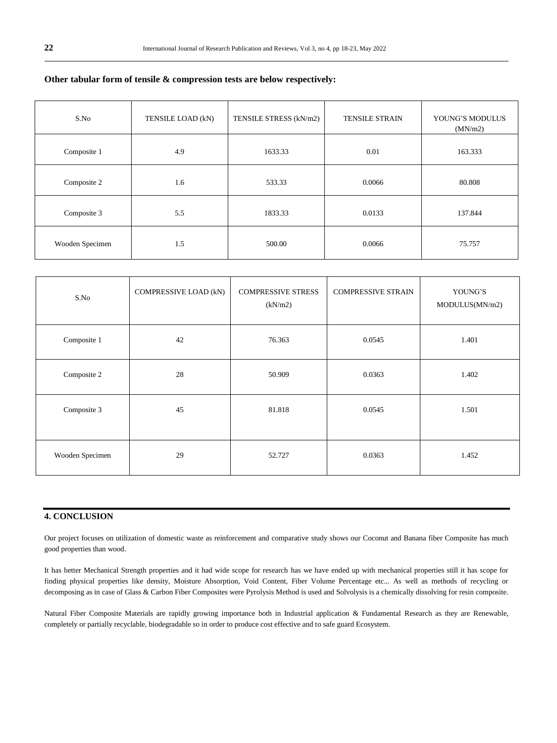| S.No            | TENSILE LOAD (kN) | TENSILE STRESS (kN/m2) | <b>TENSILE STRAIN</b> | YOUNG'S MODULUS<br>(MN/m2) |
|-----------------|-------------------|------------------------|-----------------------|----------------------------|
| Composite 1     | 4.9               | 1633.33                | 0.01                  | 163.333                    |
| Composite 2     | 1.6               | 533.33                 | 0.0066                | 80.808                     |
| Composite 3     | 5.5               | 1833.33                | 0.0133                | 137.844                    |
| Wooden Specimen | 1.5               | 500.00                 | 0.0066                | 75.757                     |

## **Other tabular form of tensile & compression tests are below respectively:**

| S.No            | COMPRESSIVE LOAD (kN) | <b>COMPRESSIVE STRESS</b><br>(kN/m2) | <b>COMPRESSIVE STRAIN</b> | YOUNG'S<br>MODULUS(MN/m2) |
|-----------------|-----------------------|--------------------------------------|---------------------------|---------------------------|
| Composite 1     | 42                    | 76.363                               | 0.0545                    | 1.401                     |
| Composite 2     | 28                    | 50.909                               | 0.0363                    | 1.402                     |
| Composite 3     | 45                    | 81.818                               | 0.0545                    | 1.501                     |
| Wooden Specimen | 29                    | 52.727                               | 0.0363                    | 1.452                     |

# **4. CONCLUSION**

Our project focuses on utilization of domestic waste as reinforcement and comparative study shows our Coconut and Banana fiber Composite has much good properties than wood.

It has better Mechanical Strength properties and it had wide scope for research has we have ended up with mechanical properties still it has scope for finding physical properties like density, Moisture Absorption, Void Content, Fiber Volume Percentage etc... As well as methods of recycling or decomposing as in case of Glass & Carbon Fiber Composites were Pyrolysis Method is used and Solvolysis is a chemically dissolving for resin composite.

Natural Fiber Composite Materials are rapidly growing importance both in Industrial application & Fundamental Research as they are Renewable, completely or partially recyclable, biodegradable so in order to produce cost effective and to safe guard Ecosystem.